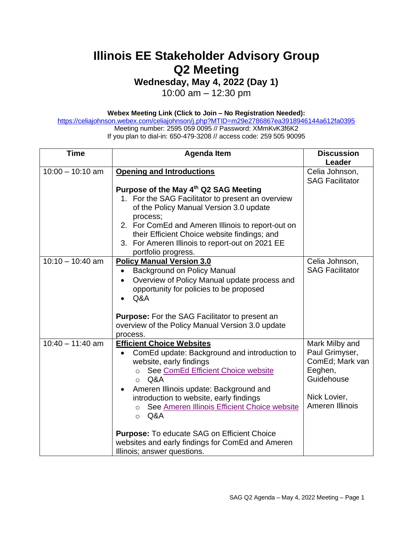## **Illinois EE Stakeholder Advisory Group Q2 Meeting**

**Wednesday, May 4, 2022 (Day 1)**

10:00 am – 12:30 pm

**Webex Meeting Link (Click to Join – No Registration Needed):** 

<https://celiajohnson.webex.com/celiajohnson/j.php?MTID=m29e2786867ea3918946144a612fa0395> Meeting number: 2595 059 0095 // Password: XMmKvK3f6K2 If you plan to dial-in: 650-479-3208 // access code: 259 505 90095

| <b>Time</b>        | <b>Agenda Item</b>                                                                                                                                                                                                                                                                                                                                                                                                                                                                           | <b>Discussion</b><br>Leader                                                                                     |
|--------------------|----------------------------------------------------------------------------------------------------------------------------------------------------------------------------------------------------------------------------------------------------------------------------------------------------------------------------------------------------------------------------------------------------------------------------------------------------------------------------------------------|-----------------------------------------------------------------------------------------------------------------|
| $10:00 - 10:10$ am | <b>Opening and Introductions</b><br>Purpose of the May 4th Q2 SAG Meeting<br>1. For the SAG Facilitator to present an overview<br>of the Policy Manual Version 3.0 update                                                                                                                                                                                                                                                                                                                    | Celia Johnson,<br><b>SAG Facilitator</b>                                                                        |
|                    | process;<br>2. For ComEd and Ameren Illinois to report-out on<br>their Efficient Choice website findings; and<br>3. For Ameren Illinois to report-out on 2021 EE<br>portfolio progress.                                                                                                                                                                                                                                                                                                      |                                                                                                                 |
| $10:10 - 10:40$ am | <b>Policy Manual Version 3.0</b><br><b>Background on Policy Manual</b><br>Overview of Policy Manual update process and<br>$\bullet$<br>opportunity for policies to be proposed<br>Q&A<br><b>Purpose:</b> For the SAG Facilitator to present an<br>overview of the Policy Manual Version 3.0 update<br>process.                                                                                                                                                                               | Celia Johnson,<br><b>SAG Facilitator</b>                                                                        |
| $10:40 - 11:40$ am | <b>Efficient Choice Websites</b><br>ComEd update: Background and introduction to<br>website, early findings<br>See ComEd Efficient Choice website<br>Q&A<br>$\Omega$<br>Ameren Illinois update: Background and<br>$\bullet$<br>introduction to website, early findings<br>See Ameren Illinois Efficient Choice website<br>$\circ$<br>Q&A<br>$\circ$<br><b>Purpose:</b> To educate SAG on Efficient Choice<br>websites and early findings for ComEd and Ameren<br>Illinois; answer questions. | Mark Milby and<br>Paul Grimyser,<br>ComEd; Mark van<br>Eeghen,<br>Guidehouse<br>Nick Lovier,<br>Ameren Illinois |